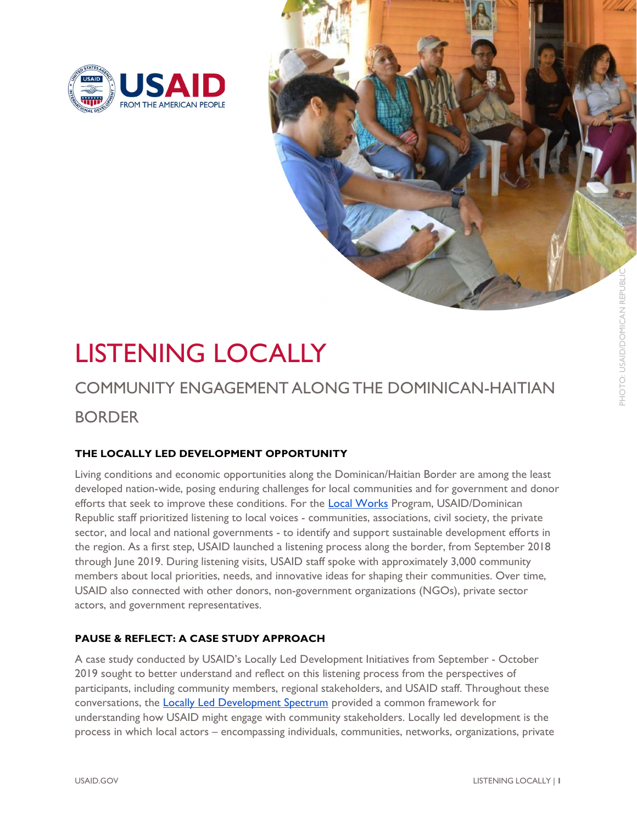



# LISTENING LOCALLY

# COMMUNITY ENGAGEMENT ALONG THE DOMINICAN-HAITIAN BORDER

## THE LOCALLY LED DEVELOPMENT OPPORTUNITY

Living conditions and economic opportunities along the Dominican/Haitian Border are among the least developed nation-wide, posing enduring challenges for local communities and for government and donor efforts that seek to improve these conditions. For the Local Works Program, USAID/Dominican Republic staff prioritized listening to local voices - communities, associations, civil society, the private sector, and local and national governments - to identify and support sustainable development efforts in the region. As a first step, USAID launched a listening process along the border, from September 2018 through June 2019. During listening visits, USAID staff spoke with approximately 3,000 community members about local priorities, needs, and innovative ideas for shaping their communities. Over time, USAID also connected with other donors, non-government organizations (NGOs), private sector actors, and government representatives. **EXTENING LOCALLY**<br> **EXTENIMENTATION CONTINUAL ACTION CONTINUAL ACTION**<br> **EXTENDIBLE ACTION CONTINUAL ACTION**<br> **EXTENDIBLE ACTION CONTINUAL ACTION CONTINUAL ACTION**<br> **EXTENDIBLE ACTION CONTINUAL ACTION CONTINUAL ACTION**<br>

## PAUSE & REFLECT: A CASE STUDY APPROACH

A case study conducted by USAID's Locally Led Development Initiatives from September - October 2019 sought to better understand and reflect on this listening process from the perspectives of participants, including community members, regional stakeholders, and USAID staff. Throughout these conversations, the **Locally Led Development Spectrum** provided a common framework for understanding how USAID might engage with community stakeholders. Locally led development is the